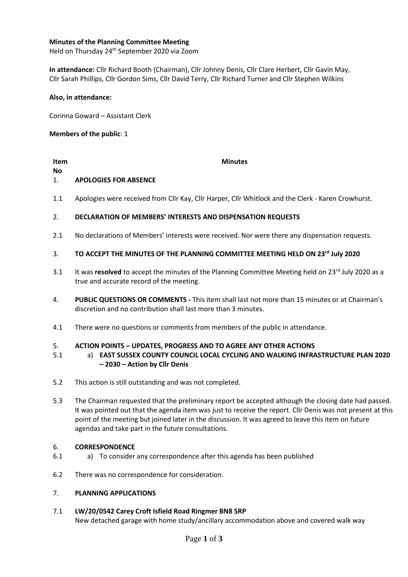# **Minutes of the Planning Committee Meeting**

Held on Thursday 24<sup>th</sup> September 2020 via Zoom

**In attendance:** Cllr Richard Booth (Chairman), Cllr Johnny Denis, Cllr Clare Herbert, Cllr Gavin May, Cllr Sarah Phillips, Cllr Gordon Sims, Cllr David Terry, Cllr Richard Turner and Cllr Stephen Wilkins

# **Also, in attendance:**

Corinna Goward – Assistant Clerk

# **Members of the public**: 1

# **Item**

**No**

### **Minutes**

#### 1. **APOLOGIES FOR ABSENCE**

1.1 Apologies were received from Cllr Kay, Cllr Harper, Cllr Whitlock and the Clerk - Karen Crowhurst.

#### 2. **DECLARATION OF MEMBERS' INTERESTS AND DISPENSATION REQUESTS**

2.1 No declarations of Members' interests were received. Nor were there any dispensation requests.

#### 3. **TO ACCEPT THE MINUTES OF THE PLANNING COMMITTEE MEETING HELD ON 23 rd July 2020**

- 3.1 It was resolved to accept the minutes of the Planning Committee Meeting held on 23<sup>rd</sup> July 2020 as a true and accurate record of the meeting.
- 4. **PUBLIC QUESTIONS OR COMMENTS -** This item shall last not more than 15 minutes or at Chairman's discretion and no contribution shall last more than 3 minutes.
- 4.1 There were no questions or comments from members of the public in attendance.

#### 5. **ACTION POINTS – UPDATES, PROGRESS AND TO AGREE ANY OTHER ACTIONS**

- 5.1 a) **EAST SUSSEX COUNTY COUNCIL LOCAL CYCLING AND WALKING INFRASTRUCTURE PLAN 2020 – 2030 – Action by Cllr Denis**
- 5.2 This action is still outstanding and was not completed.
- 5.3 The Chairman requested that the preliminary report be accepted although the closing date had passed. It was pointed out that the agenda item was just to receive the report. Cllr Denis was not present at this point of the meeting but joined later in the discussion. It was agreed to leave this item on future agendas and take part in the future consultations.

#### 6. **CORRESPONDENCE**

- 6.1 a) To consider any correspondence after this agenda has been published
- 6.2 There was no correspondence for consideration.

#### 7. **PLANNING APPLICATIONS**

#### 7.1 **LW/20/0542 Carey Croft Isfield Road Ringmer BN8 5RP**

New detached garage with home study/ancillary accommodation above and covered walk way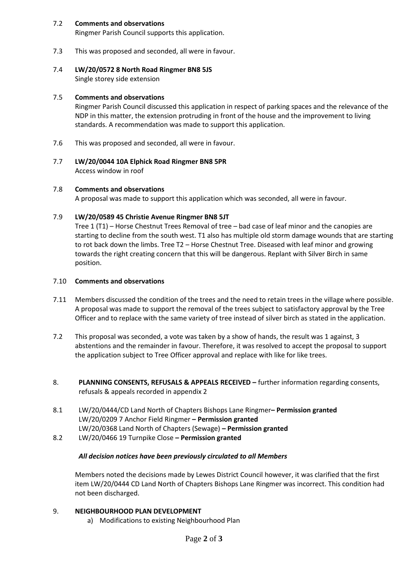#### 7.2 **Comments and observations**

Ringmer Parish Council supports this application.

7.3 This was proposed and seconded, all were in favour.

#### 7.4 **LW/20/0572 8 North Road Ringmer BN8 5JS**

Single storey side extension

#### 7.5 **Comments and observations**

Ringmer Parish Council discussed this application in respect of parking spaces and the relevance of the NDP in this matter, the extension protruding in front of the house and the improvement to living standards. A recommendation was made to support this application.

- 7.6 This was proposed and seconded, all were in favour.
- 7.7 **LW/20/0044 10A Elphick Road Ringmer BN8 5PR** Access window in roof

#### 7.8 **Comments and observations**

A proposal was made to support this application which was seconded, all were in favour.

#### 7.9 **LW/20/0589 45 Christie Avenue Ringmer BN8 5JT**

Tree 1 (T1) – Horse Chestnut Trees Removal of tree – bad case of leaf minor and the canopies are starting to decline from the south west. T1 also has multiple old storm damage wounds that are starting to rot back down the limbs. Tree T2 – Horse Chestnut Tree. Diseased with leaf minor and growing towards the right creating concern that this will be dangerous. Replant with Silver Birch in same position.

# 7.10 **Comments and observations**

- 7.11 Members discussed the condition of the trees and the need to retain trees in the village where possible. A proposal was made to support the removal of the trees subject to satisfactory approval by the Tree Officer and to replace with the same variety of tree instead of silver birch as stated in the application.
- 7.2 This proposal was seconded, a vote was taken by a show of hands, the result was 1 against, 3 abstentions and the remainder in favour. Therefore, it was resolved to accept the proposal to support the application subject to Tree Officer approval and replace with like for like trees.
- 8. **PLANNING CONSENTS, REFUSALS & APPEALS RECEIVED –** further information regarding consents, refusals & appeals recorded in appendix 2
- 8.1 LW/20/0444/CD Land North of Chapters Bishops Lane Ringmer**– Permission granted** LW/20/0209 7 Anchor Field Ringmer **– Permission granted** LW/20/0368 Land North of Chapters (Sewage) **– Permission granted**
- 8.2 LW/20/0466 19 Turnpike Close **– Permission granted**

# *All decision notices have been previously circulated to all Members*

Members noted the decisions made by Lewes District Council however, it was clarified that the first item LW/20/0444 CD Land North of Chapters Bishops Lane Ringmer was incorrect. This condition had not been discharged.

# 9. **NEIGHBOURHOOD PLAN DEVELOPMENT**

a) Modifications to existing Neighbourhood Plan